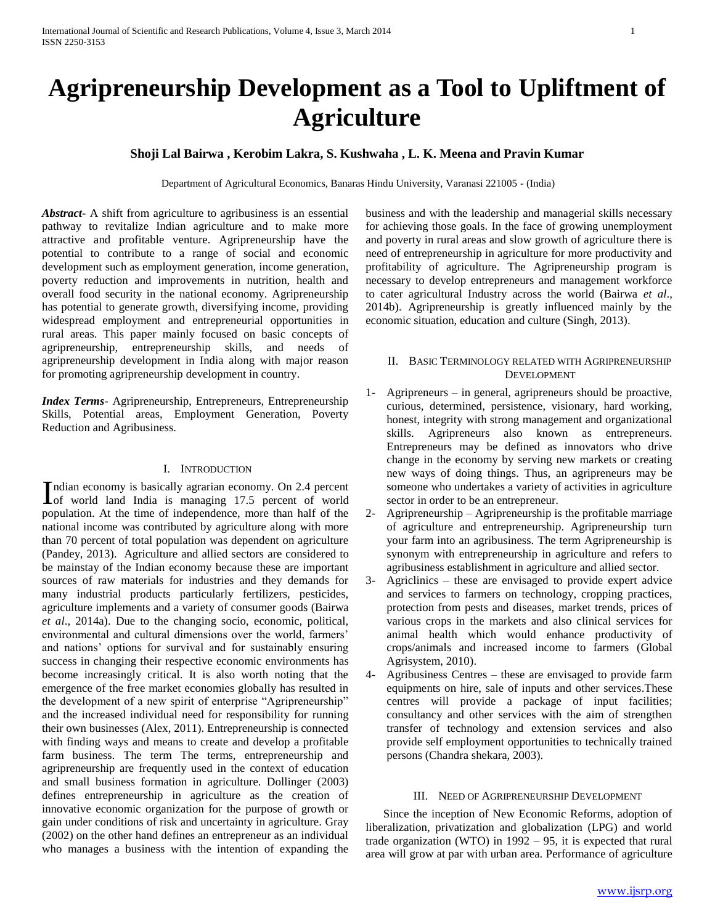# **Agripreneurship Development as a Tool to Upliftment of Agriculture**

# **Shoji Lal Bairwa , Kerobim Lakra, S. Kushwaha , L. K. Meena and Pravin Kumar**

Department of Agricultural Economics, Banaras Hindu University, Varanasi 221005 - (India)

*Abstract***-** A shift from agriculture to agribusiness is an essential pathway to revitalize Indian agriculture and to make more attractive and profitable venture. Agripreneurship have the potential to contribute to a range of social and economic development such as employment generation, income generation, poverty reduction and improvements in nutrition, health and overall food security in the national economy. Agripreneurship has potential to generate growth, diversifying income, providing widespread employment and entrepreneurial opportunities in rural areas. This paper mainly focused on basic concepts of agripreneurship, entrepreneurship skills, and needs of agripreneurship development in India along with major reason for promoting agripreneurship development in country.

*Index Terms*- Agripreneurship, Entrepreneurs, Entrepreneurship Skills, Potential areas, Employment Generation, Poverty Reduction and Agribusiness.

## I. INTRODUCTION

ndian economy is basically agrarian economy. On 2.4 percent Indian economy is basically agrarian economy. On 2.4 percent of world<br>
India is managing 17.5 percent of world population. At the time of independence, more than half of the national income was contributed by agriculture along with more than 70 percent of total population was dependent on agriculture (Pandey, 2013). Agriculture and allied sectors are considered to be mainstay of the Indian economy because these are important sources of raw materials for industries and they demands for many industrial products particularly fertilizers, pesticides, agriculture implements and a variety of consumer goods (Bairwa *et al*., 2014a). Due to the changing socio, economic, political, environmental and cultural dimensions over the world, farmers' and nations' options for survival and for sustainably ensuring success in changing their respective economic environments has become increasingly critical. It is also worth noting that the emergence of the free market economies globally has resulted in the development of a new spirit of enterprise "Agripreneurship" and the increased individual need for responsibility for running their own businesses (Alex, 2011). Entrepreneurship is connected with finding ways and means to create and develop a profitable farm business. The term The terms, entrepreneurship and agripreneurship are frequently used in the context of education and small business formation in agriculture. Dollinger (2003) defines entrepreneurship in agriculture as the creation of innovative economic organization for the purpose of growth or gain under conditions of risk and uncertainty in agriculture. Gray (2002) on the other hand defines an entrepreneur as an individual who manages a business with the intention of expanding the

business and with the leadership and managerial skills necessary for achieving those goals. In the face of growing unemployment and poverty in rural areas and slow growth of agriculture there is need of entrepreneurship in agriculture for more productivity and profitability of agriculture. The Agripreneurship program is necessary to develop entrepreneurs and management workforce to cater agricultural Industry across the world (Bairwa *et al*., 2014b). Agripreneurship is greatly influenced mainly by the economic situation, education and culture (Singh, 2013).

# II. BASIC TERMINOLOGY RELATED WITH AGRIPRENEURSHIP DEVELOPMENT

- 1- Agripreneurs in general, agripreneurs should be proactive, curious, determined, persistence, visionary, hard working, honest, integrity with strong management and organizational skills. Agripreneurs also known as entrepreneurs. Entrepreneurs may be defined as innovators who drive change in the economy by serving new markets or creating new ways of doing things. Thus, an agripreneurs may be someone who undertakes a variety of activities in agriculture sector in order to be an entrepreneur.
- 2- Agripreneurship Agripreneurship is the profitable marriage of agriculture and entrepreneurship. Agripreneurship turn your farm into an agribusiness. The term Agripreneurship is synonym with entrepreneurship in agriculture and refers to agribusiness establishment in agriculture and allied sector.
- 3- Agriclinics these are envisaged to provide expert advice and services to farmers on technology, cropping practices, protection from pests and diseases, market trends, prices of various crops in the markets and also clinical services for animal health which would enhance productivity of crops/animals and increased income to farmers (Global Agrisystem, 2010).
- 4- Agribusiness Centres these are envisaged to provide farm equipments on hire, sale of inputs and other services.These centres will provide a package of input facilities; consultancy and other services with the aim of strengthen transfer of technology and extension services and also provide self employment opportunities to technically trained persons (Chandra shekara, 2003).

## III. NEED OF AGRIPRENEURSHIP DEVELOPMENT

 Since the inception of New Economic Reforms, adoption of liberalization, privatization and globalization (LPG) and world trade organization (WTO) in 1992 – 95, it is expected that rural area will grow at par with urban area. Performance of agriculture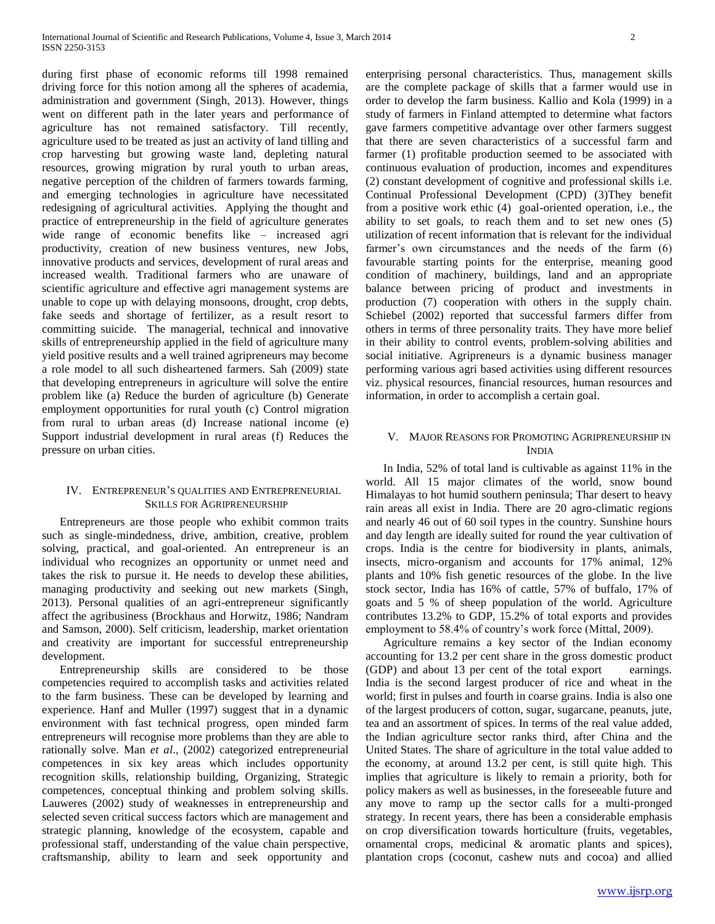during first phase of economic reforms till 1998 remained driving force for this notion among all the spheres of academia, administration and government (Singh, 2013). However, things went on different path in the later years and performance of agriculture has not remained satisfactory. Till recently, agriculture used to be treated as just an activity of land tilling and crop harvesting but growing waste land, depleting natural resources, growing migration by rural youth to urban areas, negative perception of the children of farmers towards farming, and emerging technologies in agriculture have necessitated redesigning of agricultural activities. Applying the thought and practice of entrepreneurship in the field of agriculture generates wide range of economic benefits like – increased agri productivity, creation of new business ventures, new Jobs, innovative products and services, development of rural areas and increased wealth. Traditional farmers who are unaware of scientific agriculture and effective agri management systems are unable to cope up with delaying monsoons, drought, crop debts, fake seeds and shortage of fertilizer, as a result resort to committing suicide. The managerial, technical and innovative skills of entrepreneurship applied in the field of agriculture many yield positive results and a well trained agripreneurs may become a role model to all such disheartened farmers. Sah (2009) state that developing entrepreneurs in agriculture will solve the entire problem like (a) Reduce the burden of agriculture (b) Generate employment opportunities for rural youth (c) Control migration from rural to urban areas (d) Increase national income (e) Support industrial development in rural areas (f) Reduces the pressure on urban cities.

## IV. ENTREPRENEUR'S QUALITIES AND ENTREPRENEURIAL SKILLS FOR AGRIPRENEURSHIP

 Entrepreneurs are those people who exhibit common traits such as single-mindedness, drive, ambition, creative, problem solving, practical, and goal-oriented. An entrepreneur is an individual who recognizes an opportunity or unmet need and takes the risk to pursue it. He needs to develop these abilities, managing productivity and seeking out new markets (Singh, 2013). Personal qualities of an agri-entrepreneur significantly affect the agribusiness (Brockhaus and Horwitz, 1986; Nandram and Samson, 2000). Self criticism, leadership, market orientation and creativity are important for successful entrepreneurship development.

 Entrepreneurship skills are considered to be those competencies required to accomplish tasks and activities related to the farm business. These can be developed by learning and experience. Hanf and Muller (1997) suggest that in a dynamic environment with fast technical progress, open minded farm entrepreneurs will recognise more problems than they are able to rationally solve. Man *et al*., (2002) categorized entrepreneurial competences in six key areas which includes opportunity recognition skills, relationship building, Organizing, Strategic competences, conceptual thinking and problem solving skills. Lauweres (2002) study of weaknesses in entrepreneurship and selected seven critical success factors which are management and strategic planning, knowledge of the ecosystem, capable and professional staff, understanding of the value chain perspective, craftsmanship, ability to learn and seek opportunity and enterprising personal characteristics. Thus, management skills are the complete package of skills that a farmer would use in order to develop the farm business. Kallio and Kola (1999) in a study of farmers in Finland attempted to determine what factors gave farmers competitive advantage over other farmers suggest that there are seven characteristics of a successful farm and farmer (1) profitable production seemed to be associated with continuous evaluation of production, incomes and expenditures (2) constant development of cognitive and professional skills i.e. Continual Professional Development (CPD) (3)They benefit from a positive work ethic (4) goal-oriented operation, i.e., the ability to set goals, to reach them and to set new ones (5) utilization of recent information that is relevant for the individual farmer's own circumstances and the needs of the farm (6) favourable starting points for the enterprise, meaning good condition of machinery, buildings, land and an appropriate balance between pricing of product and investments in production (7) cooperation with others in the supply chain. Schiebel (2002) reported that successful farmers differ from others in terms of three personality traits. They have more belief in their ability to control events, problem-solving abilities and social initiative. Agripreneurs is a dynamic business manager performing various agri based activities using different resources viz. physical resources, financial resources, human resources and information, in order to accomplish a certain goal.

# V. MAJOR REASONS FOR PROMOTING AGRIPRENEURSHIP IN INDIA

 In India, 52% of total land is cultivable as against 11% in the world. All 15 major climates of the world, snow bound Himalayas to hot humid southern peninsula; Thar desert to heavy rain areas all exist in India. There are 20 agro-climatic regions and nearly 46 out of 60 soil types in the country. Sunshine hours and day length are ideally suited for round the year cultivation of crops. India is the centre for biodiversity in plants, animals, insects, micro-organism and accounts for 17% animal, 12% plants and 10% fish genetic resources of the globe. In the live stock sector, India has 16% of cattle, 57% of buffalo, 17% of goats and 5 % of sheep population of the world. Agriculture contributes 13.2% to GDP, 15.2% of total exports and provides employment to 58.4% of country's work force (Mittal, 2009).

 Agriculture remains a key sector of the Indian economy accounting for 13.2 per cent share in the gross domestic product (GDP) and about 13 per cent of the total export earnings. India is the second largest producer of rice and wheat in the world; first in pulses and fourth in coarse grains. India is also one of the largest producers of cotton, sugar, sugarcane, peanuts, jute, tea and an assortment of spices. In terms of the real value added, the Indian agriculture sector ranks third, after China and the United States. The share of agriculture in the total value added to the economy, at around 13.2 per cent, is still quite high. This implies that agriculture is likely to remain a priority, both for policy makers as well as businesses, in the foreseeable future and any move to ramp up the sector calls for a multi-pronged strategy. In recent years, there has been a considerable emphasis on crop diversification towards horticulture (fruits, vegetables, ornamental crops, medicinal & aromatic plants and spices), plantation crops (coconut, cashew nuts and cocoa) and allied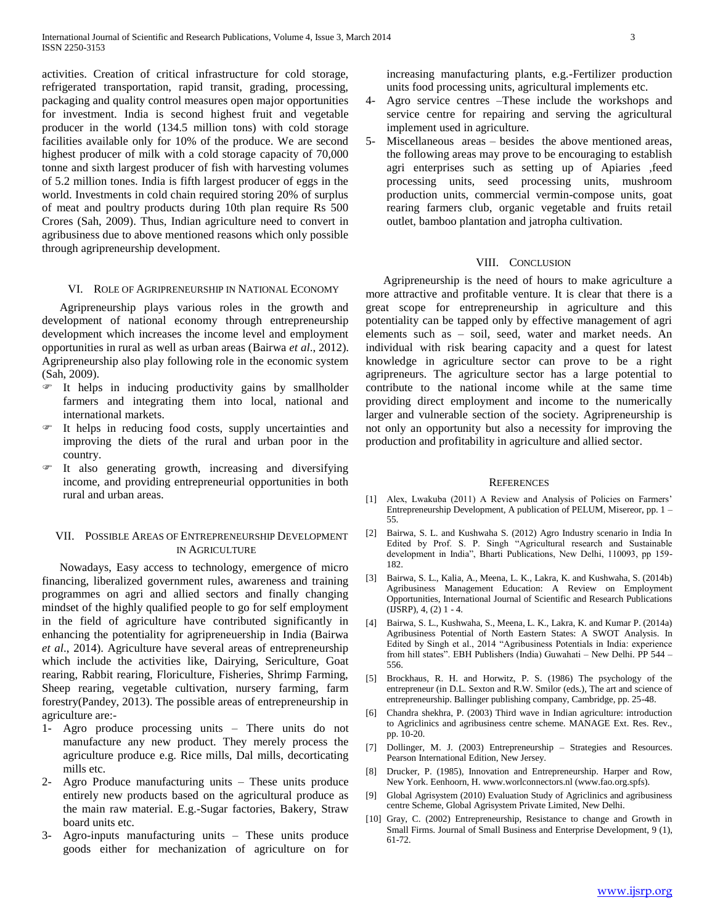activities. Creation of critical infrastructure for cold storage, refrigerated transportation, rapid transit, grading, processing, packaging and quality control measures open major opportunities for investment. India is second highest fruit and vegetable producer in the world (134.5 million tons) with cold storage facilities available only for 10% of the produce. We are second highest producer of milk with a cold storage capacity of 70,000 tonne and sixth largest producer of fish with harvesting volumes of 5.2 million tones. India is fifth largest producer of eggs in the world. Investments in cold chain required storing 20% of surplus of meat and poultry products during 10th plan require Rs 500 Crores (Sah, 2009). Thus, Indian agriculture need to convert in agribusiness due to above mentioned reasons which only possible through agripreneurship development.

#### VI. ROLE OF AGRIPRENEURSHIP IN NATIONAL ECONOMY

 Agripreneurship plays various roles in the growth and development of national economy through entrepreneurship development which increases the income level and employment opportunities in rural as well as urban areas (Bairwa *et al*., 2012). Agripreneurship also play following role in the economic system (Sah, 2009).

- It helps in inducing productivity gains by smallholder farmers and integrating them into local, national and international markets.
- It helps in reducing food costs, supply uncertainties and improving the diets of the rural and urban poor in the country.
- It also generating growth, increasing and diversifying income, and providing entrepreneurial opportunities in both rural and urban areas.

#### VII. POSSIBLE AREAS OF ENTREPRENEURSHIP DEVELOPMENT IN AGRICULTURE

 Nowadays, Easy access to technology, emergence of micro financing, liberalized government rules, awareness and training programmes on agri and allied sectors and finally changing mindset of the highly qualified people to go for self employment in the field of agriculture have contributed significantly in enhancing the potentiality for agripreneuership in India (Bairwa *et al*., 2014). Agriculture have several areas of entrepreneurship which include the activities like, Dairying, Sericulture, Goat rearing, Rabbit rearing, Floriculture, Fisheries, Shrimp Farming, Sheep rearing, vegetable cultivation, nursery farming, farm forestry(Pandey, 2013). The possible areas of entrepreneurship in agriculture are:-

- 1- Agro produce processing units There units do not manufacture any new product. They merely process the agriculture produce e.g. Rice mills, Dal mills, decorticating mills etc.
- Agro Produce manufacturing units These units produce entirely new products based on the agricultural produce as the main raw material. E.g.-Sugar factories, Bakery, Straw board units etc.
- 3- Agro-inputs manufacturing units These units produce goods either for mechanization of agriculture on for

increasing manufacturing plants, e.g.-Fertilizer production units food processing units, agricultural implements etc.

- 4- Agro service centres –These include the workshops and service centre for repairing and serving the agricultural implement used in agriculture.
- 5- Miscellaneous areas besides the above mentioned areas, the following areas may prove to be encouraging to establish agri enterprises such as setting up of Apiaries ,feed processing units, seed processing units, mushroom production units, commercial vermin-compose units, goat rearing farmers club, organic vegetable and fruits retail outlet, bamboo plantation and jatropha cultivation.

#### VIII. CONCLUSION

 Agripreneurship is the need of hours to make agriculture a more attractive and profitable venture. It is clear that there is a great scope for entrepreneurship in agriculture and this potentiality can be tapped only by effective management of agri elements such as – soil, seed, water and market needs. An individual with risk bearing capacity and a quest for latest knowledge in agriculture sector can prove to be a right agripreneurs. The agriculture sector has a large potential to contribute to the national income while at the same time providing direct employment and income to the numerically larger and vulnerable section of the society. Agripreneurship is not only an opportunity but also a necessity for improving the production and profitability in agriculture and allied sector.

#### **REFERENCES**

- [1] Alex, Lwakuba (2011) A Review and Analysis of Policies on Farmers' Entrepreneurship Development, A publication of PELUM, Misereor, pp. 1 – 55.
- [2] Bairwa, S. L. and Kushwaha S. (2012) Agro Industry scenario in India In Edited by Prof. S. P. Singh "Agricultural research and Sustainable development in India", Bharti Publications, New Delhi, 110093, pp 159- 182.
- [3] Bairwa, S. L., Kalia, A., Meena, L. K., Lakra, K. and Kushwaha, S. (2014b) Agribusiness Management Education: A Review on Employment Opportunities, International Journal of Scientific and Research Publications (IJSRP), 4, (2) 1 - 4.
- [4] Bairwa, S. L., Kushwaha, S., Meena, L. K., Lakra, K. and Kumar P. (2014a) Agribusiness Potential of North Eastern States: A SWOT Analysis. In Edited by Singh et al., 2014 "Agribusiness Potentials in India: experience from hill states". EBH Publishers (India) Guwahati – New Delhi. PP 544 – 556.
- [5] Brockhaus, R. H. and Horwitz, P. S. (1986) The psychology of the entrepreneur (in D.L. Sexton and R.W. Smilor (eds.), The art and science of entrepreneurship. Ballinger publishing company, Cambridge, pp. 25-48.
- [6] Chandra shekhra, P. (2003) Third wave in Indian agriculture: introduction to Agriclinics and agribusiness centre scheme. MANAGE Ext. Res. Rev., pp. 10-20.
- [7] Dollinger, M. J. (2003) Entrepreneurship Strategies and Resources. Pearson International Edition, New Jersey.
- [8] Drucker, P. (1985), Innovation and Entrepreneurship. Harper and Row, New York. Eenhoorn, H. www.worlconnectors.nl (www.fao.org.spfs).
- [9] Global Agrisystem (2010) Evaluation Study of Agriclinics and agribusiness centre Scheme, Global Agrisystem Private Limited, New Delhi.
- [10] Gray, C. (2002) Entrepreneurship, Resistance to change and Growth in Small Firms. Journal of Small Business and Enterprise Development, 9 (1), 61-72.